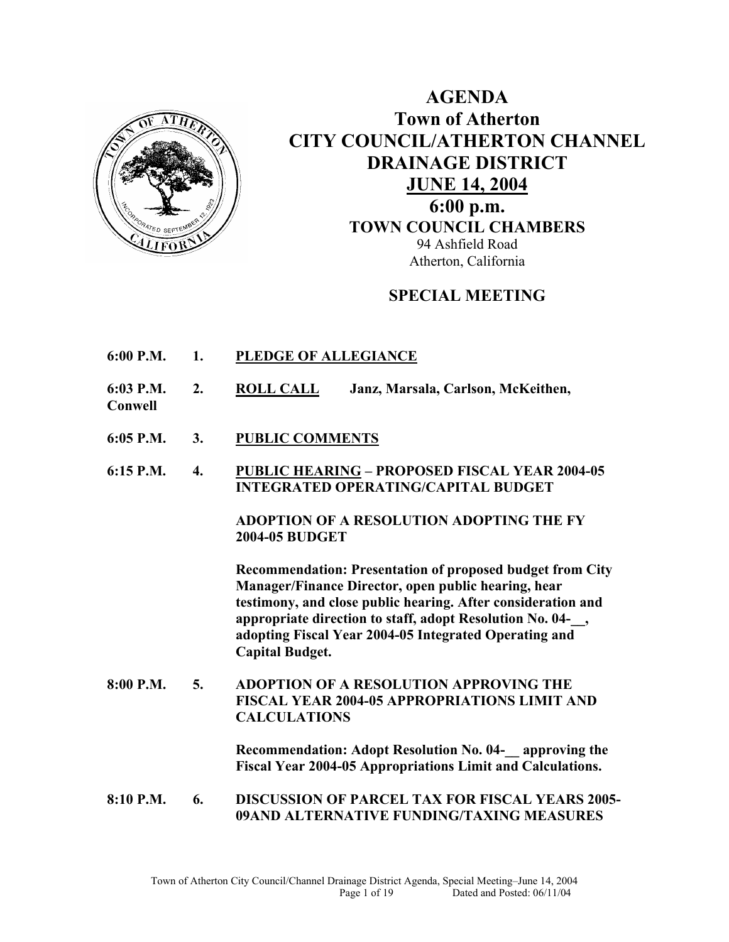

**AGENDA Town of Atherton CITY COUNCIL/ATHERTON CHANNEL DRAINAGE DISTRICT JUNE 14, 2004 6:00 p.m. TOWN COUNCIL CHAMBERS** 94 Ashfield Road Atherton, California

### **SPECIAL MEETING**

- **6:00 P.M. 1. PLEDGE OF ALLEGIANCE**
- **6:03 P.M. 2. ROLL CALL Janz, Marsala, Carlson, McKeithen,**
- **Conwell**
- **6:05 P.M. 3. PUBLIC COMMENTS**
- **6:15 P.M. 4. PUBLIC HEARING PROPOSED FISCAL YEAR 2004-05 INTEGRATED OPERATING/CAPITAL BUDGET**

**ADOPTION OF A RESOLUTION ADOPTING THE FY 2004-05 BUDGET** 

 **Recommendation: Presentation of proposed budget from City Manager/Finance Director, open public hearing, hear testimony, and close public hearing. After consideration and appropriate direction to staff, adopt Resolution No. 04-\_\_, adopting Fiscal Year 2004-05 Integrated Operating and Capital Budget.** 

**8:00 P.M. 5. ADOPTION OF A RESOLUTION APPROVING THE FISCAL YEAR 2004-05 APPROPRIATIONS LIMIT AND CALCULATIONS** 

> **Recommendation: Adopt Resolution No. 04-\_\_ approving the Fiscal Year 2004-05 Appropriations Limit and Calculations.**

**8:10 P.M. 6. DISCUSSION OF PARCEL TAX FOR FISCAL YEARS 2005- 09AND ALTERNATIVE FUNDING/TAXING MEASURES**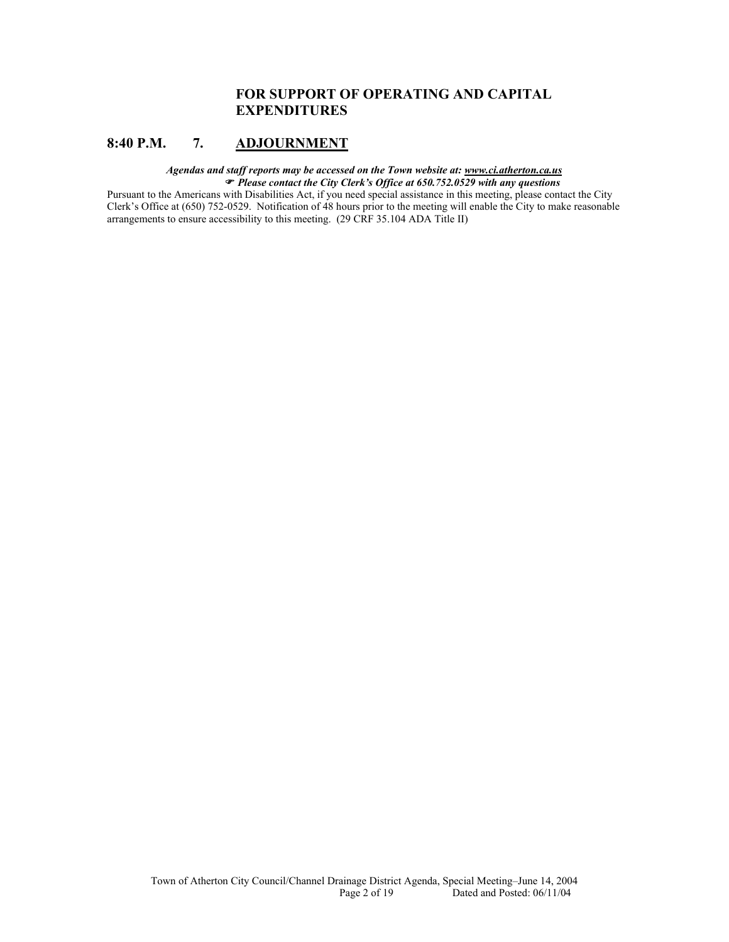### **FOR SUPPORT OF OPERATING AND CAPITAL EXPENDITURES**

### **8:40 P.M. 7. ADJOURNMENT**

#### *Agendas and staff reports may be accessed on the Town website at: www.ci.atherton.ca.us* ) *Please contact the City Clerk's Office at 650.752.0529 with any questions*

Pursuant to the Americans with Disabilities Act, if you need special assistance in this meeting, please contact the City Clerk's Office at (650) 752-0529. Notification of 48 hours prior to the meeting will enable the City to make reasonable arrangements to ensure accessibility to this meeting. (29 CRF 35.104 ADA Title II)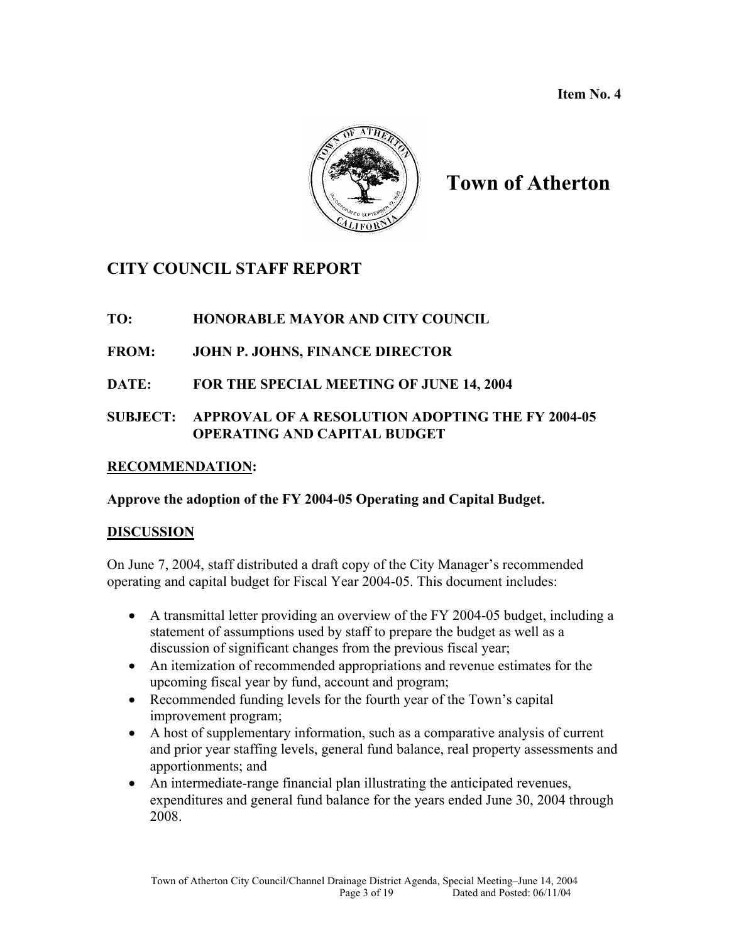**Item No. 4** 



# **Town of Atherton**

## **CITY COUNCIL STAFF REPORT**

### **TO: HONORABLE MAYOR AND CITY COUNCIL**

### **FROM: JOHN P. JOHNS, FINANCE DIRECTOR**

### **DATE: FOR THE SPECIAL MEETING OF JUNE 14, 2004**

### **SUBJECT: APPROVAL OF A RESOLUTION ADOPTING THE FY 2004-05 OPERATING AND CAPITAL BUDGET**

### **RECOMMENDATION:**

### **Approve the adoption of the FY 2004-05 Operating and Capital Budget.**

### **DISCUSSION**

On June 7, 2004, staff distributed a draft copy of the City Manager's recommended operating and capital budget for Fiscal Year 2004-05. This document includes:

- A transmittal letter providing an overview of the FY 2004-05 budget, including a statement of assumptions used by staff to prepare the budget as well as a discussion of significant changes from the previous fiscal year;
- An itemization of recommended appropriations and revenue estimates for the upcoming fiscal year by fund, account and program;
- Recommended funding levels for the fourth year of the Town's capital improvement program;
- A host of supplementary information, such as a comparative analysis of current and prior year staffing levels, general fund balance, real property assessments and apportionments; and
- An intermediate-range financial plan illustrating the anticipated revenues, expenditures and general fund balance for the years ended June 30, 2004 through 2008.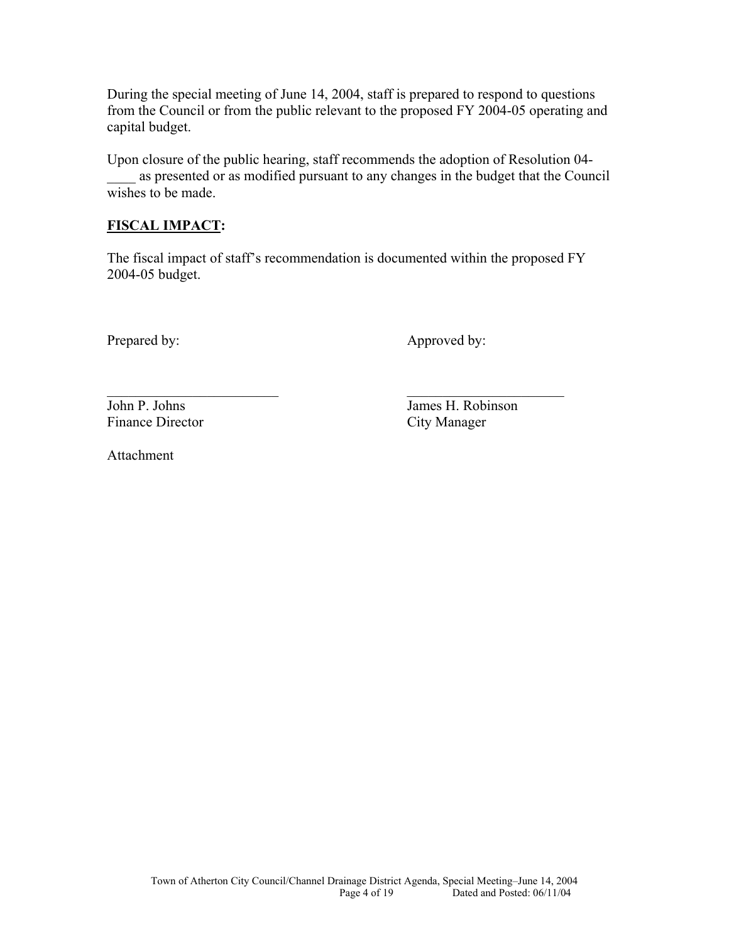During the special meeting of June 14, 2004, staff is prepared to respond to questions from the Council or from the public relevant to the proposed FY 2004-05 operating and capital budget.

Upon closure of the public hearing, staff recommends the adoption of Resolution 04 as presented or as modified pursuant to any changes in the budget that the Council wishes to be made.

### **FISCAL IMPACT:**

The fiscal impact of staff's recommendation is documented within the proposed FY 2004-05 budget.

Prepared by: Approved by:

 $\mathcal{L}_\text{max}$  , and the contract of the contract of the contract of the contract of the contract of the contract of the contract of the contract of the contract of the contract of the contract of the contract of the contr John P. Johns James H. Robinson Finance Director City Manager

Attachment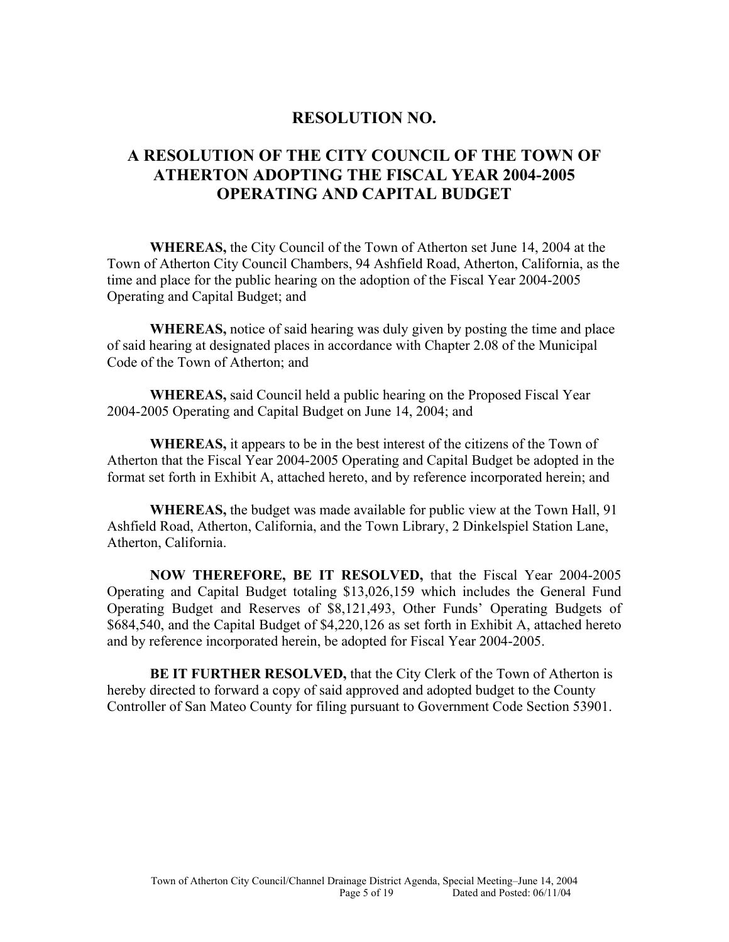### **RESOLUTION NO.**

### **A RESOLUTION OF THE CITY COUNCIL OF THE TOWN OF ATHERTON ADOPTING THE FISCAL YEAR 2004-2005 OPERATING AND CAPITAL BUDGET**

**WHEREAS,** the City Council of the Town of Atherton set June 14, 2004 at the Town of Atherton City Council Chambers, 94 Ashfield Road, Atherton, California, as the time and place for the public hearing on the adoption of the Fiscal Year 2004-2005 Operating and Capital Budget; and

**WHEREAS,** notice of said hearing was duly given by posting the time and place of said hearing at designated places in accordance with Chapter 2.08 of the Municipal Code of the Town of Atherton; and

 **WHEREAS,** said Council held a public hearing on the Proposed Fiscal Year 2004-2005 Operating and Capital Budget on June 14, 2004; and

**WHEREAS,** it appears to be in the best interest of the citizens of the Town of Atherton that the Fiscal Year 2004-2005 Operating and Capital Budget be adopted in the format set forth in Exhibit A, attached hereto, and by reference incorporated herein; and

 **WHEREAS,** the budget was made available for public view at the Town Hall, 91 Ashfield Road, Atherton, California, and the Town Library, 2 Dinkelspiel Station Lane, Atherton, California.

**NOW THEREFORE, BE IT RESOLVED,** that the Fiscal Year 2004-2005 Operating and Capital Budget totaling \$13,026,159 which includes the General Fund Operating Budget and Reserves of \$8,121,493, Other Funds' Operating Budgets of \$684,540, and the Capital Budget of \$4,220,126 as set forth in Exhibit A, attached hereto and by reference incorporated herein, be adopted for Fiscal Year 2004-2005.

**BE IT FURTHER RESOLVED,** that the City Clerk of the Town of Atherton is hereby directed to forward a copy of said approved and adopted budget to the County Controller of San Mateo County for filing pursuant to Government Code Section 53901.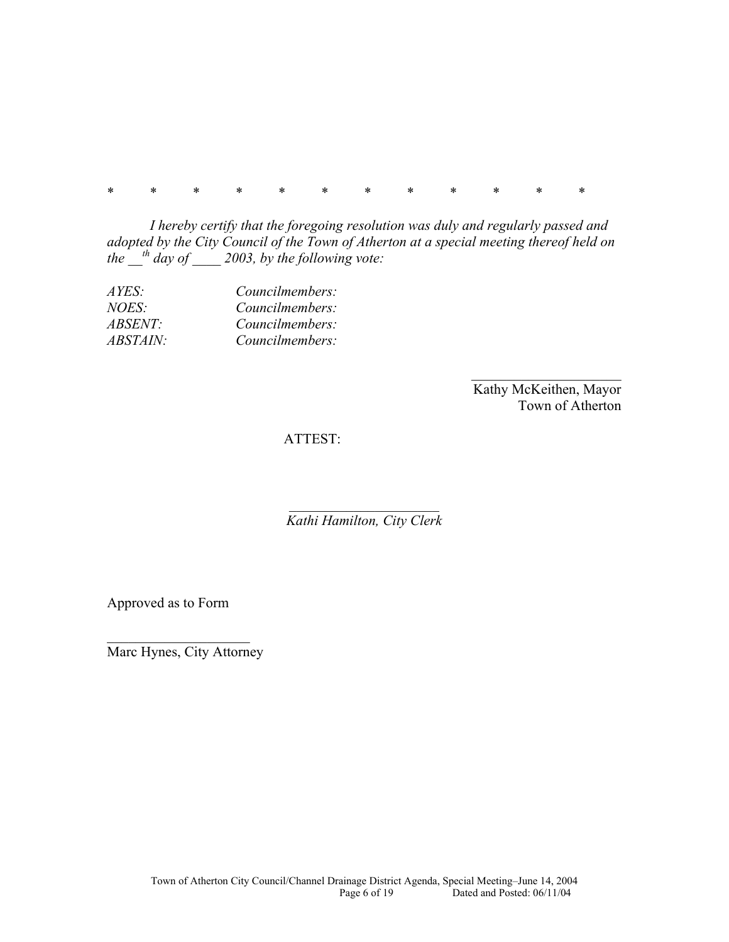\* \* \* \* \* \* \* \* \* \* \* \*

*I hereby certify that the foregoing resolution was duly and regularly passed and adopted by the City Council of the Town of Atherton at a special meeting thereof held on*   $the \frac{th}{\Delta} day of \frac{2003}{\Delta} by the following vote:$ 

| AYES:          | Councilmembers: |
|----------------|-----------------|
| <i>NOES:</i>   | Councilmembers: |
| <i>ABSENT:</i> | Councilmembers: |
| ABSTAIN:       | Councilmembers: |

 Kathy McKeithen, Mayor Town of Atherton

### ATTEST:

*Kathi Hamilton, City Clerk* 

\_\_\_\_\_\_\_\_\_\_\_\_\_\_\_\_\_\_\_\_\_

Approved as to Form

 $\mathcal{L}_\text{max}$ Marc Hynes, City Attorney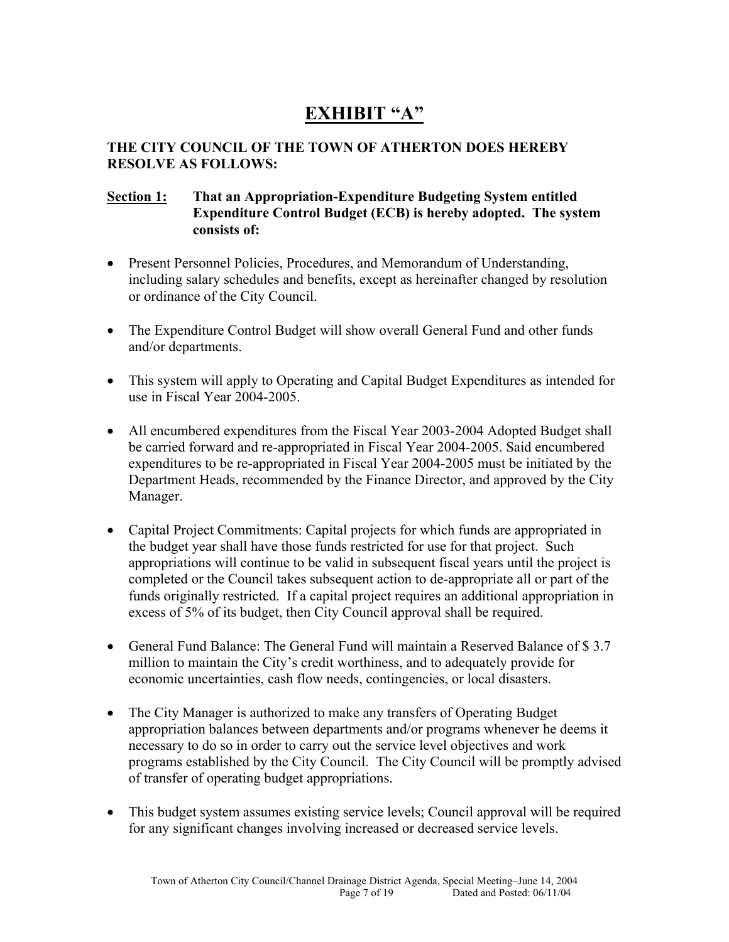# **EXHIBIT "A"**

### **THE CITY COUNCIL OF THE TOWN OF ATHERTON DOES HEREBY RESOLVE AS FOLLOWS:**

### **Section 1: That an Appropriation-Expenditure Budgeting System entitled Expenditure Control Budget (ECB) is hereby adopted. The system consists of:**

- Present Personnel Policies, Procedures, and Memorandum of Understanding, including salary schedules and benefits, except as hereinafter changed by resolution or ordinance of the City Council.
- The Expenditure Control Budget will show overall General Fund and other funds and/or departments.
- This system will apply to Operating and Capital Budget Expenditures as intended for use in Fiscal Year 2004-2005.
- All encumbered expenditures from the Fiscal Year 2003-2004 Adopted Budget shall be carried forward and re-appropriated in Fiscal Year 2004-2005. Said encumbered expenditures to be re-appropriated in Fiscal Year 2004-2005 must be initiated by the Department Heads, recommended by the Finance Director, and approved by the City Manager.
- Capital Project Commitments: Capital projects for which funds are appropriated in the budget year shall have those funds restricted for use for that project. Such appropriations will continue to be valid in subsequent fiscal years until the project is completed or the Council takes subsequent action to de-appropriate all or part of the funds originally restricted. If a capital project requires an additional appropriation in excess of 5% of its budget, then City Council approval shall be required.
- General Fund Balance: The General Fund will maintain a Reserved Balance of \$ 3.7 million to maintain the City's credit worthiness, and to adequately provide for economic uncertainties, cash flow needs, contingencies, or local disasters.
- The City Manager is authorized to make any transfers of Operating Budget appropriation balances between departments and/or programs whenever he deems it necessary to do so in order to carry out the service level objectives and work programs established by the City Council. The City Council will be promptly advised of transfer of operating budget appropriations.
- This budget system assumes existing service levels; Council approval will be required for any significant changes involving increased or decreased service levels.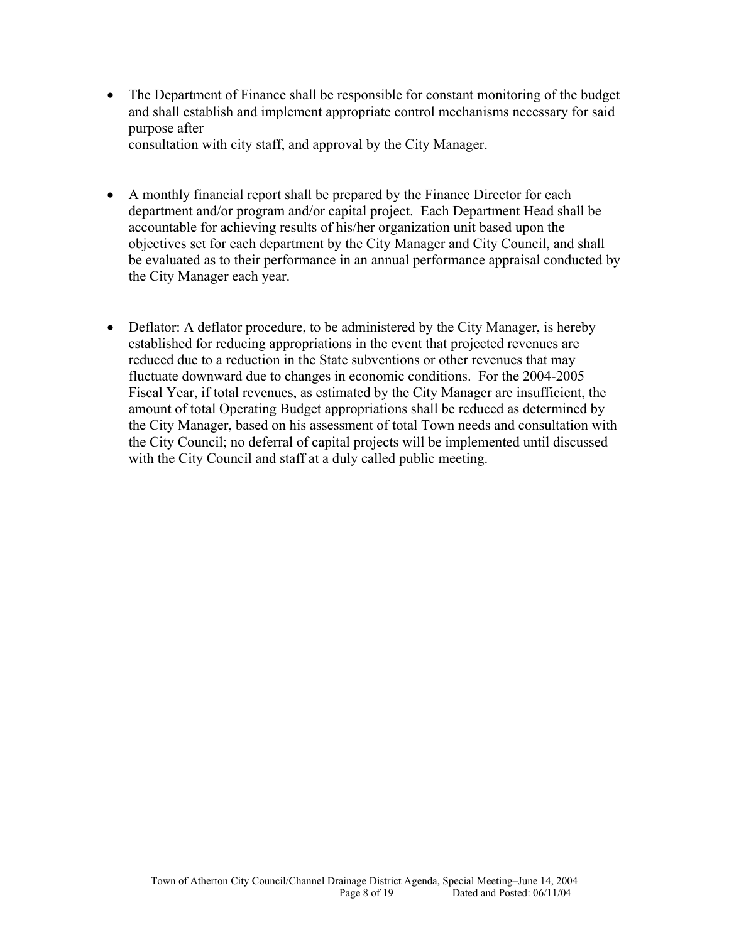- The Department of Finance shall be responsible for constant monitoring of the budget and shall establish and implement appropriate control mechanisms necessary for said purpose after consultation with city staff, and approval by the City Manager.
- A monthly financial report shall be prepared by the Finance Director for each department and/or program and/or capital project. Each Department Head shall be accountable for achieving results of his/her organization unit based upon the objectives set for each department by the City Manager and City Council, and shall be evaluated as to their performance in an annual performance appraisal conducted by the City Manager each year.
- Deflator: A deflator procedure, to be administered by the City Manager, is hereby established for reducing appropriations in the event that projected revenues are reduced due to a reduction in the State subventions or other revenues that may fluctuate downward due to changes in economic conditions. For the 2004-2005 Fiscal Year, if total revenues, as estimated by the City Manager are insufficient, the amount of total Operating Budget appropriations shall be reduced as determined by the City Manager, based on his assessment of total Town needs and consultation with the City Council; no deferral of capital projects will be implemented until discussed with the City Council and staff at a duly called public meeting.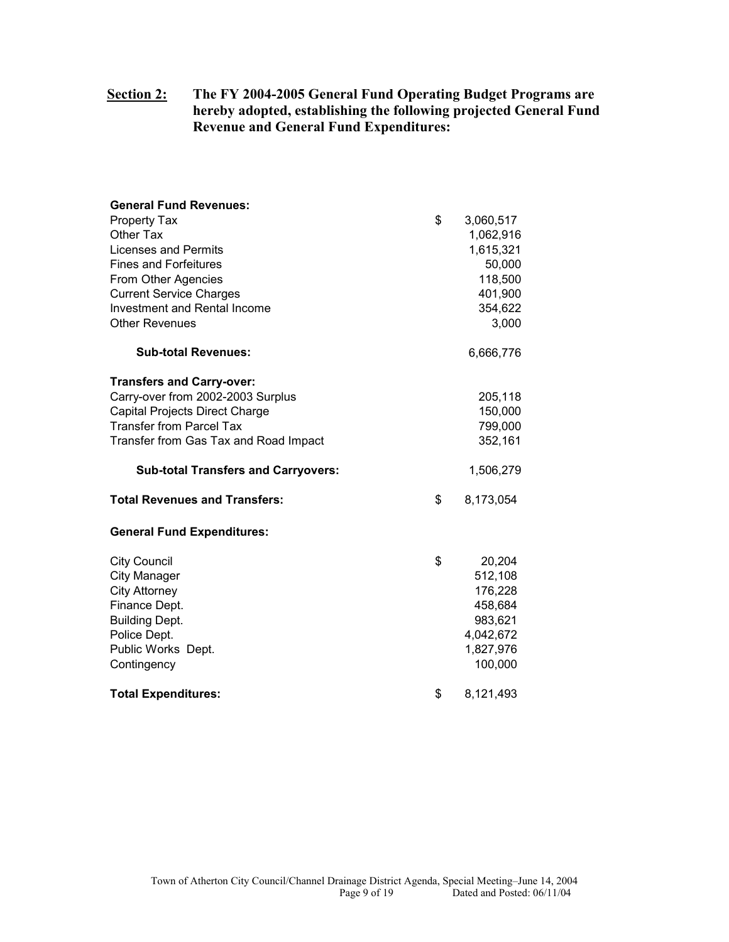### **Section 2: The FY 2004-2005 General Fund Operating Budget Programs are hereby adopted, establishing the following projected General Fund Revenue and General Fund Expenditures:**

| <b>General Fund Revenues:</b>              |                 |
|--------------------------------------------|-----------------|
| <b>Property Tax</b>                        | \$<br>3,060,517 |
| Other Tax                                  | 1,062,916       |
| <b>Licenses and Permits</b>                | 1,615,321       |
| <b>Fines and Forfeitures</b>               | 50,000          |
| From Other Agencies                        | 118,500         |
| <b>Current Service Charges</b>             | 401,900         |
| Investment and Rental Income               | 354,622         |
| <b>Other Revenues</b>                      | 3,000           |
| <b>Sub-total Revenues:</b>                 | 6,666,776       |
| <b>Transfers and Carry-over:</b>           |                 |
| Carry-over from 2002-2003 Surplus          | 205,118         |
| Capital Projects Direct Charge             | 150,000         |
| <b>Transfer from Parcel Tax</b>            | 799,000         |
| Transfer from Gas Tax and Road Impact      | 352,161         |
| <b>Sub-total Transfers and Carryovers:</b> | 1,506,279       |
| <b>Total Revenues and Transfers:</b>       | \$<br>8,173,054 |
| <b>General Fund Expenditures:</b>          |                 |
| <b>City Council</b>                        | \$<br>20,204    |
| <b>City Manager</b>                        | 512,108         |
| <b>City Attorney</b>                       | 176,228         |
| Finance Dept.                              | 458,684         |
| <b>Building Dept.</b>                      | 983,621         |
| Police Dept.                               | 4,042,672       |
| Public Works Dept.                         | 1,827,976       |
| Contingency                                | 100,000         |
| <b>Total Expenditures:</b>                 | \$<br>8,121,493 |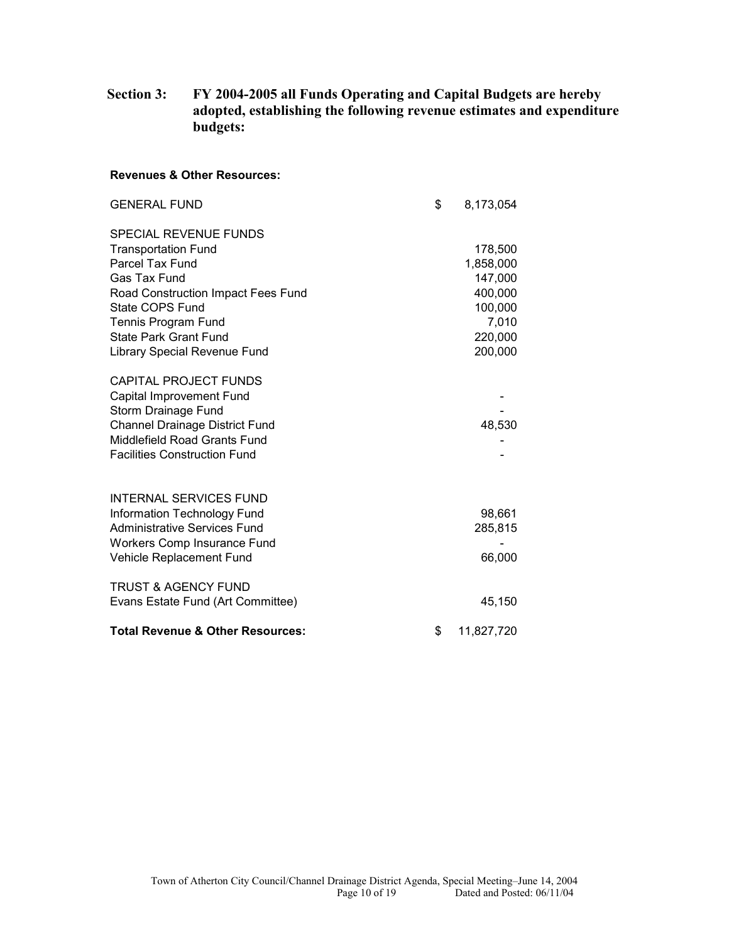### **Section 3: FY 2004-2005 all Funds Operating and Capital Budgets are hereby adopted, establishing the following revenue estimates and expenditure budgets:**

#### **Revenues & Other Resources:**

| <b>GENERAL FUND</b>                         | \$<br>8,173,054  |
|---------------------------------------------|------------------|
| <b>SPECIAL REVENUE FUNDS</b>                |                  |
| <b>Transportation Fund</b>                  | 178,500          |
| Parcel Tax Fund                             | 1,858,000        |
| Gas Tax Fund                                | 147,000          |
| Road Construction Impact Fees Fund          | 400,000          |
| State COPS Fund                             | 100,000          |
| Tennis Program Fund                         | 7,010            |
| <b>State Park Grant Fund</b>                | 220,000          |
| Library Special Revenue Fund                | 200,000          |
| <b>CAPITAL PROJECT FUNDS</b>                |                  |
| Capital Improvement Fund                    |                  |
| Storm Drainage Fund                         |                  |
| <b>Channel Drainage District Fund</b>       | 48,530           |
| Middlefield Road Grants Fund                |                  |
| <b>Facilities Construction Fund</b>         |                  |
|                                             |                  |
| <b>INTERNAL SERVICES FUND</b>               |                  |
| Information Technology Fund                 | 98,661           |
| <b>Administrative Services Fund</b>         | 285,815          |
| Workers Comp Insurance Fund                 |                  |
| Vehicle Replacement Fund                    | 66,000           |
|                                             |                  |
| <b>TRUST &amp; AGENCY FUND</b>              |                  |
| Evans Estate Fund (Art Committee)           | 45,150           |
| <b>Total Revenue &amp; Other Resources:</b> | \$<br>11,827,720 |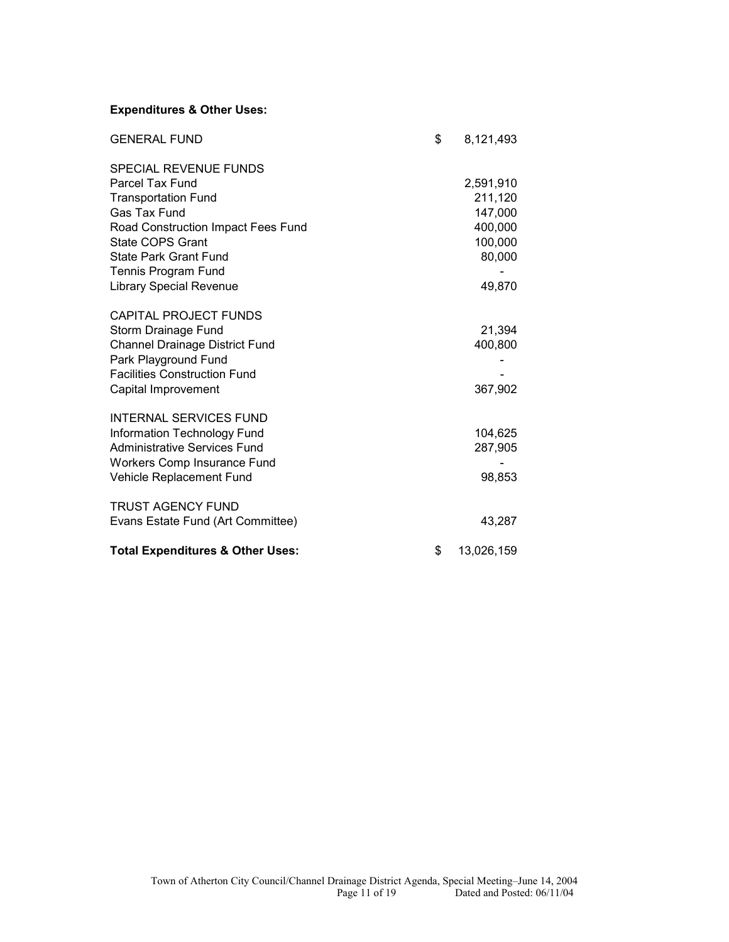### **Expenditures & Other Uses:**

| <b>GENERAL FUND</b>                         | \$<br>8,121,493  |
|---------------------------------------------|------------------|
| <b>SPECIAL REVENUE FUNDS</b>                |                  |
| Parcel Tax Fund                             | 2,591,910        |
| <b>Transportation Fund</b>                  | 211,120          |
| <b>Gas Tax Fund</b>                         | 147,000          |
| Road Construction Impact Fees Fund          | 400,000          |
| <b>State COPS Grant</b>                     | 100,000          |
| <b>State Park Grant Fund</b>                | 80,000           |
| Tennis Program Fund                         |                  |
| <b>Library Special Revenue</b>              | 49,870           |
| <b>CAPITAL PROJECT FUNDS</b>                |                  |
| Storm Drainage Fund                         | 21,394           |
| <b>Channel Drainage District Fund</b>       | 400,800          |
| Park Playground Fund                        |                  |
| <b>Facilities Construction Fund</b>         |                  |
| Capital Improvement                         | 367,902          |
|                                             |                  |
| <b>INTERNAL SERVICES FUND</b>               |                  |
| Information Technology Fund                 | 104,625          |
| Administrative Services Fund                | 287,905          |
| Workers Comp Insurance Fund                 |                  |
| Vehicle Replacement Fund                    | 98,853           |
| <b>TRUST AGENCY FUND</b>                    |                  |
| Evans Estate Fund (Art Committee)           | 43,287           |
|                                             |                  |
| <b>Total Expenditures &amp; Other Uses:</b> | \$<br>13,026,159 |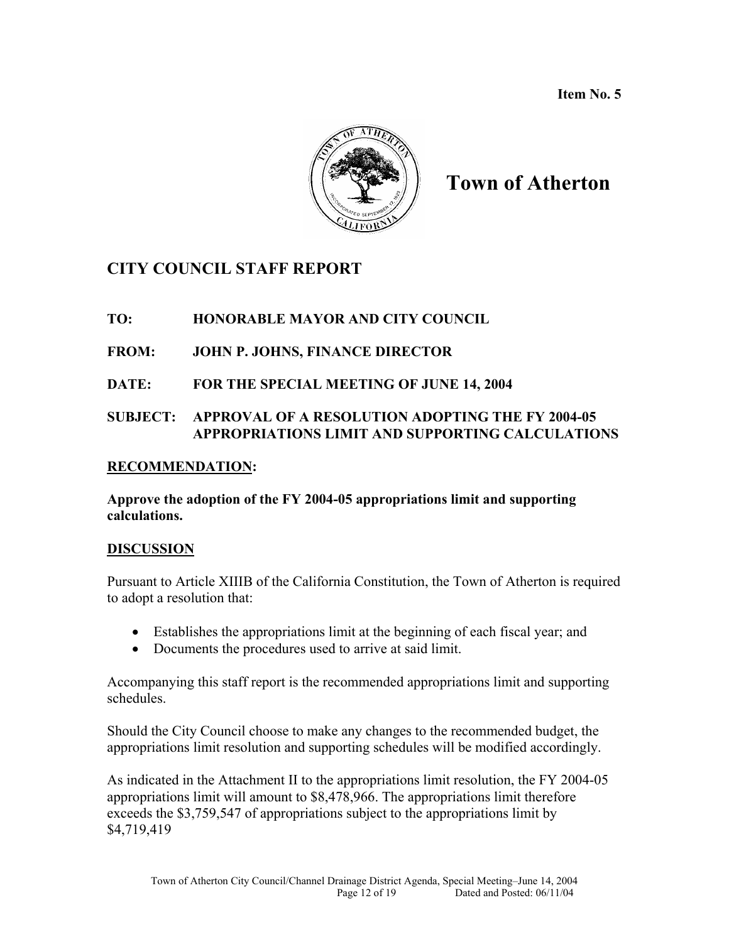**Item No. 5** 



# **Town of Atherton**

## **CITY COUNCIL STAFF REPORT**

### **TO: HONORABLE MAYOR AND CITY COUNCIL**

### **FROM: JOHN P. JOHNS, FINANCE DIRECTOR**

### **DATE: FOR THE SPECIAL MEETING OF JUNE 14, 2004**

### **SUBJECT: APPROVAL OF A RESOLUTION ADOPTING THE FY 2004-05 APPROPRIATIONS LIMIT AND SUPPORTING CALCULATIONS**

### **RECOMMENDATION:**

### **Approve the adoption of the FY 2004-05 appropriations limit and supporting calculations.**

### **DISCUSSION**

Pursuant to Article XIIIB of the California Constitution, the Town of Atherton is required to adopt a resolution that:

- Establishes the appropriations limit at the beginning of each fiscal year; and
- Documents the procedures used to arrive at said limit.

Accompanying this staff report is the recommended appropriations limit and supporting schedules.

Should the City Council choose to make any changes to the recommended budget, the appropriations limit resolution and supporting schedules will be modified accordingly.

As indicated in the Attachment II to the appropriations limit resolution, the FY 2004-05 appropriations limit will amount to \$8,478,966. The appropriations limit therefore exceeds the \$3,759,547 of appropriations subject to the appropriations limit by \$4,719,419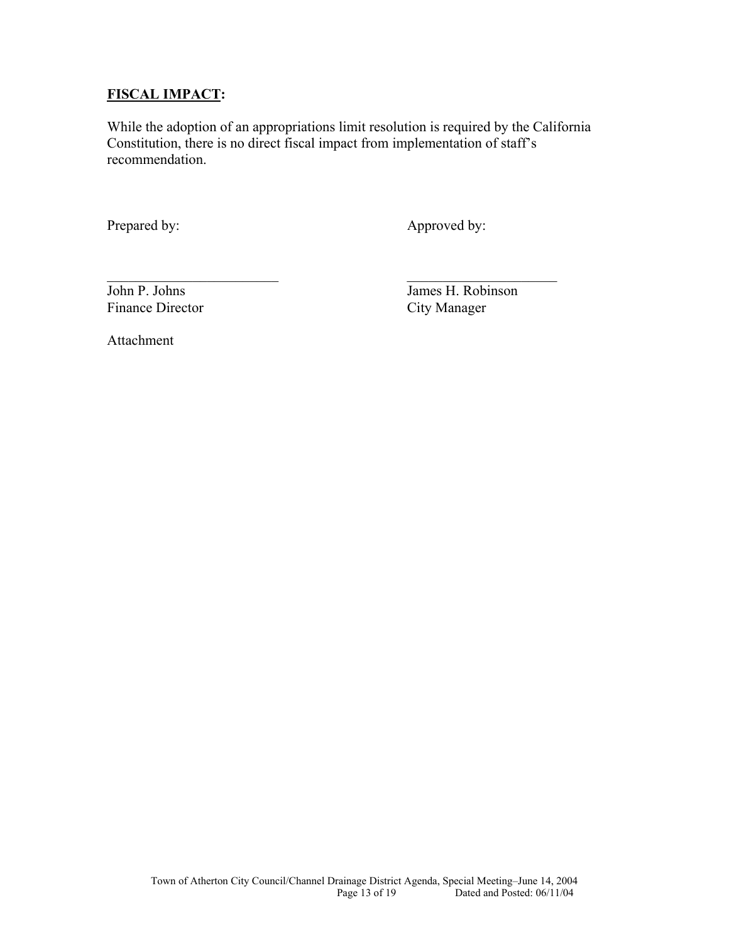### **FISCAL IMPACT:**

While the adoption of an appropriations limit resolution is required by the California Constitution, there is no direct fiscal impact from implementation of staff's recommendation.

 $\mathcal{L}_\text{max}$  , and the contract of the contract of the contract of the contract of the contract of the contract of the contract of the contract of the contract of the contract of the contract of the contract of the contr

Prepared by: Approved by:

Finance Director City Manager

John P. Johns James H. Robinson

Attachment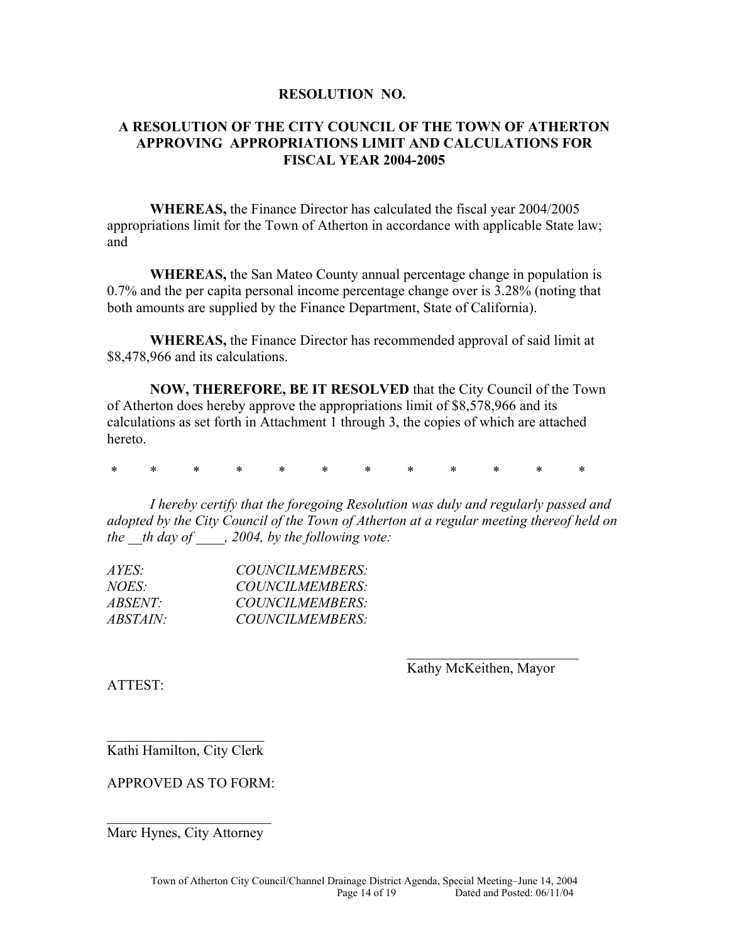### **RESOLUTION NO.**

### **A RESOLUTION OF THE CITY COUNCIL OF THE TOWN OF ATHERTON APPROVING APPROPRIATIONS LIMIT AND CALCULATIONS FOR FISCAL YEAR 2004-2005**

**WHEREAS,** the Finance Director has calculated the fiscal year 2004/2005 appropriations limit for the Town of Atherton in accordance with applicable State law; and

**WHEREAS,** the San Mateo County annual percentage change in population is 0.7% and the per capita personal income percentage change over is 3.28% (noting that both amounts are supplied by the Finance Department, State of California).

**WHEREAS,** the Finance Director has recommended approval of said limit at \$8,478,966 and its calculations.

**NOW, THEREFORE, BE IT RESOLVED** that the City Council of the Town of Atherton does hereby approve the appropriations limit of \$8,578,966 and its calculations as set forth in Attachment 1 through 3, the copies of which are attached hereto.

\* \* \* \* \* \* \* \* \* \* \* \*

 $\mathcal{L}_\text{max}$  and  $\mathcal{L}_\text{max}$  and  $\mathcal{L}_\text{max}$  and  $\mathcal{L}_\text{max}$  and  $\mathcal{L}_\text{max}$  and  $\mathcal{L}_\text{max}$ 

*I hereby certify that the foregoing Resolution was duly and regularly passed and adopted by the City Council of the Town of Atherton at a regular meeting thereof held on the \_\_th day of \_\_\_\_, 2004, by the following vote:* 

| COUNCILMEMBERS:        |
|------------------------|
| COUNCILMEMBERS:        |
| COUNCILMEMBERS:        |
| <i>COUNCILMEMBERS:</i> |
|                        |

Kathy McKeithen, Mayor

ATTEST:

 $\mathcal{L}_\text{max}$  , where  $\mathcal{L}_\text{max}$  , we have the set of  $\mathcal{L}_\text{max}$ Kathi Hamilton, City Clerk

APPROVED AS TO FORM:

 $\mathcal{L}_\text{max}$  , where  $\mathcal{L}_\text{max}$  , we have the set of  $\mathcal{L}_\text{max}$ Marc Hynes, City Attorney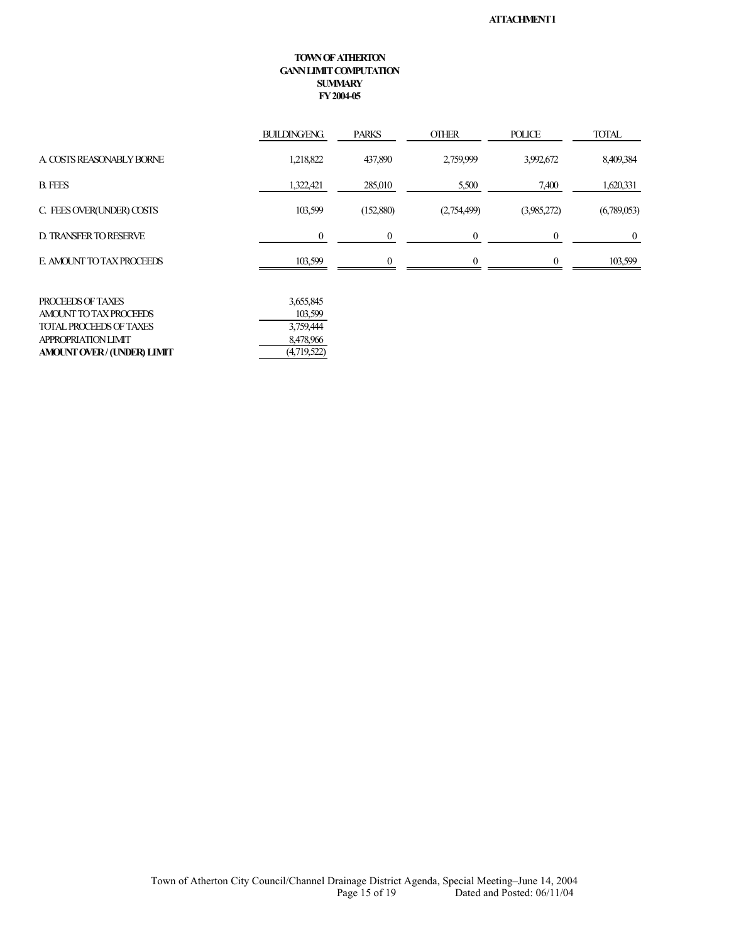#### **TOWN OF ATHERTON GANN LIMIT COMPUTATION SUMMARY FY 2004-05**

|                               | <b>BUILDING/ENG.</b> | <b>PARKS</b> | <b>OTHER</b> | <b>POLICE</b> | <b>TOTAL</b> |
|-------------------------------|----------------------|--------------|--------------|---------------|--------------|
| A COSTS REASONABLY BORNE      | 1,218,822            | 437,890      | 2,759,999    | 3,992,672     | 8,409,384    |
| <b>B. FEES</b>                | 1,322,421            | 285,010      | 5,500        | 7,400         | 1,620,331    |
| C. FEES OVER(UNDER) COSTS     | 103,599              | (152,880)    | (2,754,499)  | (3,985,272)   | (6,789,053)  |
| <b>D. TRANSFER TO RESERVE</b> |                      |              |              |               | $\theta$     |
| E AMOUNT TO TAX PROCEEDS      | 103,599              |              |              |               | 103,599      |
|                               |                      |              |              |               |              |

| PROCEEDS OF TAXES          | 3,655,845   |
|----------------------------|-------------|
| AMOUNT TO TAX PROCEEDS     | 103.599     |
| TOTAL PROCEEDS OF TAXES    | 3.759.444   |
| <b>APPROPRIATION LIMIT</b> | 8.478.966   |
| AMOUNT OVER/ (UNDER) LIMIT | (4,719,522) |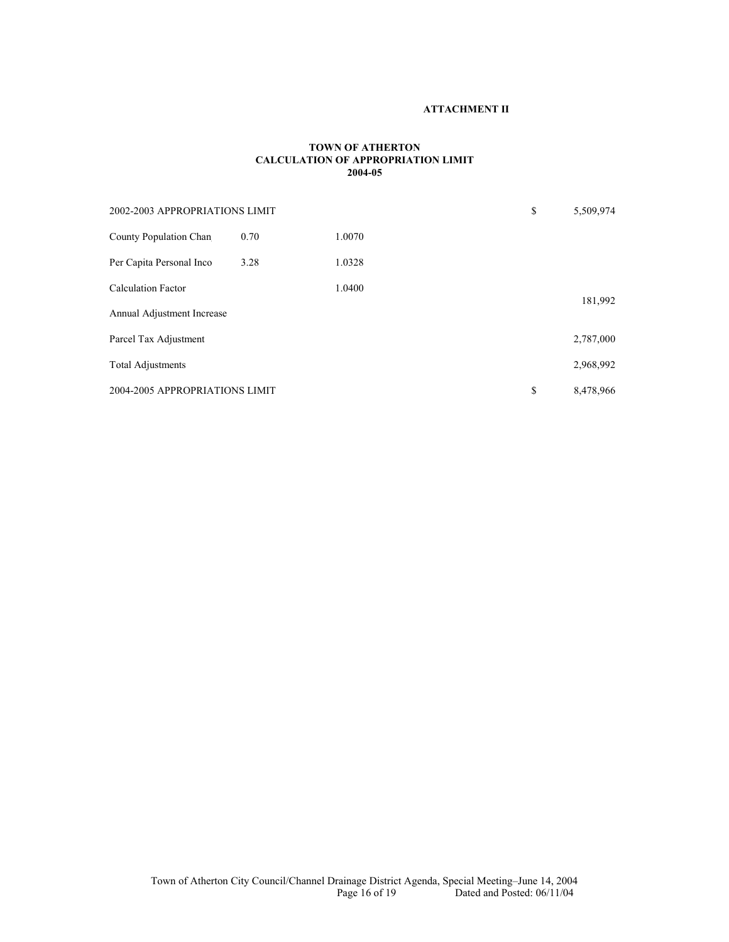#### **ATTACHMENT II**

#### **TOWN OF ATHERTON CALCULATION OF APPROPRIATION LIMIT 2004-05**

| 2002-2003 APPROPRIATIONS LIMIT |      |        | \$ | 5,509,974 |
|--------------------------------|------|--------|----|-----------|
| County Population Chan         | 0.70 | 1.0070 |    |           |
| Per Capita Personal Inco       | 3.28 | 1.0328 |    |           |
| <b>Calculation Factor</b>      |      | 1.0400 |    |           |
| Annual Adjustment Increase     |      |        |    | 181,992   |
| Parcel Tax Adjustment          |      |        |    | 2,787,000 |
| <b>Total Adjustments</b>       |      |        |    | 2,968,992 |
| 2004-2005 APPROPRIATIONS LIMIT |      |        | \$ | 8,478,966 |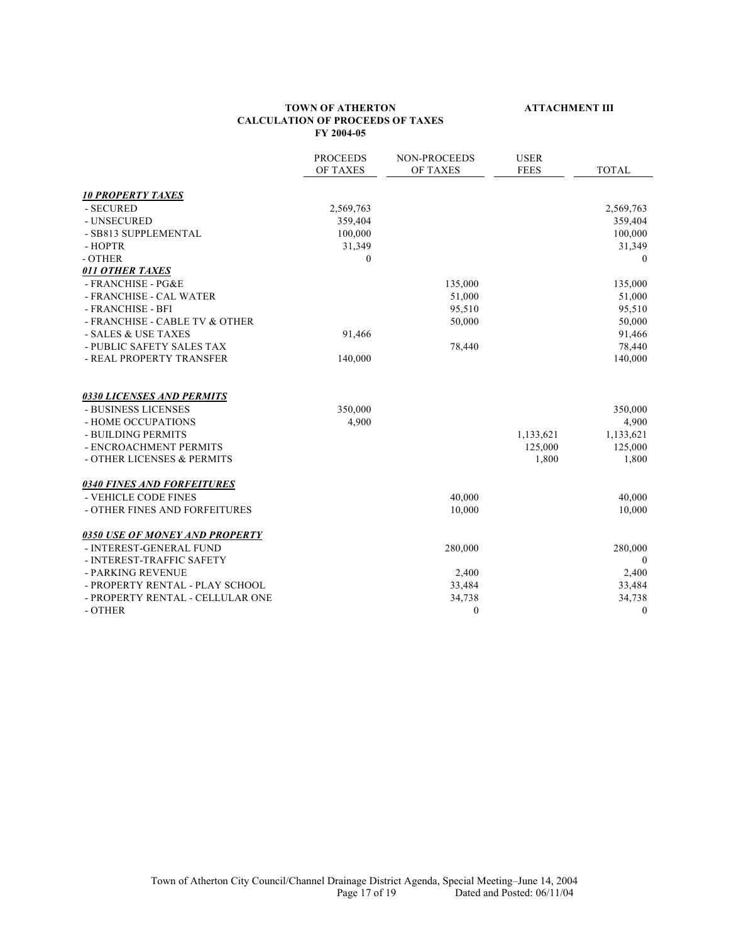#### **TOWN OF ATHERTON ATTACHMENT III CALCULATION OF PROCEEDS OF TAXES FY 2004-05**

|                                       | <b>PROCEEDS</b> | NON-PROCEEDS     | <b>USER</b> |                  |
|---------------------------------------|-----------------|------------------|-------------|------------------|
|                                       | OF TAXES        | OF TAXES         | <b>FEES</b> | <b>TOTAL</b>     |
| <b>10 PROPERTY TAXES</b>              |                 |                  |             |                  |
| - SECURED                             | 2,569,763       |                  |             | 2,569,763        |
| - UNSECURED                           | 359,404         |                  |             | 359,404          |
| - SB813 SUPPLEMENTAL                  | 100,000         |                  |             | 100,000          |
| - HOPTR                               | 31,349          |                  |             | 31,349           |
| - OTHER                               | $\Omega$        |                  |             | $\Omega$         |
| 011 OTHER TAXES                       |                 |                  |             |                  |
| - FRANCHISE - PG&E                    |                 | 135,000          |             | 135,000          |
| - FRANCHISE - CAL WATER               |                 | 51,000           |             | 51,000           |
| - FRANCHISE - BFI                     |                 | 95,510           |             | 95,510           |
| - FRANCHISE - CABLE TV & OTHER        |                 | 50,000           |             | 50,000           |
| - SALES & USE TAXES                   | 91,466          |                  |             | 91,466           |
| - PUBLIC SAFETY SALES TAX             |                 | 78,440           |             | 78,440           |
| - REAL PROPERTY TRANSFER              | 140,000         |                  |             | 140,000          |
| <b>0330 LICENSES AND PERMITS</b>      |                 |                  |             |                  |
| - BUSINESS LICENSES                   | 350,000         |                  |             | 350,000          |
| - HOME OCCUPATIONS                    | 4,900           |                  |             | 4,900            |
| - BUILDING PERMITS                    |                 |                  | 1,133,621   | 1,133,621        |
| - ENCROACHMENT PERMITS                |                 |                  | 125,000     | 125,000          |
| - OTHER LICENSES & PERMITS            |                 |                  | 1,800       | 1,800            |
| <b>0340 FINES AND FORFEITURES</b>     |                 |                  |             |                  |
| - VEHICLE CODE FINES                  |                 | 40,000           |             | 40,000           |
| - OTHER FINES AND FORFEITURES         |                 | 10,000           |             | 10,000           |
| <b>0350 USE OF MONEY AND PROPERTY</b> |                 |                  |             |                  |
| - INTEREST-GENERAL FUND               |                 | 280,000          |             | 280,000          |
| - INTEREST-TRAFFIC SAFETY             |                 |                  |             | $\mathbf{0}$     |
| - PARKING REVENUE                     |                 | 2,400            |             | 2,400            |
| - PROPERTY RENTAL - PLAY SCHOOL       |                 | 33,484           |             | 33,484           |
| - PROPERTY RENTAL - CELLULAR ONE      |                 | 34,738           |             | 34,738           |
| - OTHER                               |                 | $\boldsymbol{0}$ |             | $\boldsymbol{0}$ |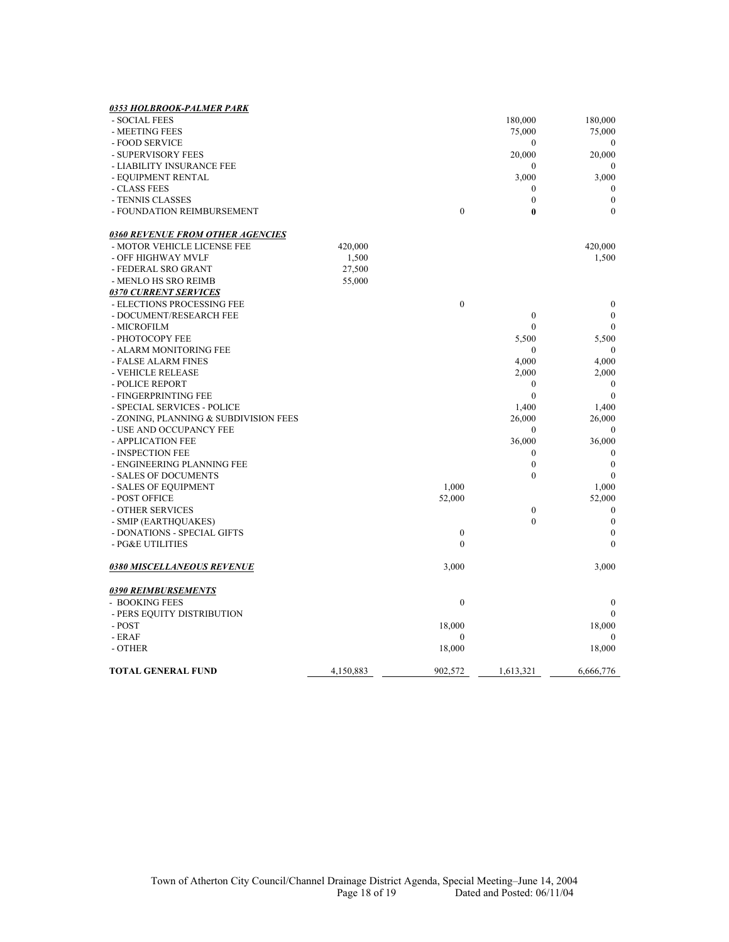| 0353 HOLBROOK-PALMER PARK               |           |                  |                  |                  |
|-----------------------------------------|-----------|------------------|------------------|------------------|
| - SOCIAL FEES                           |           |                  | 180,000          | 180,000          |
| - MEETING FEES                          |           |                  | 75,000           | 75,000           |
| - FOOD SERVICE                          |           |                  | $\mathbf{0}$     | $\mathbf{0}$     |
| - SUPERVISORY FEES                      |           |                  | 20,000           | 20,000           |
| - LIABILITY INSURANCE FEE               |           |                  | $\boldsymbol{0}$ | $\mathbf{0}$     |
| - EQUIPMENT RENTAL                      |           |                  | 3,000            | 3,000            |
| - CLASS FEES                            |           |                  | $\boldsymbol{0}$ | $\boldsymbol{0}$ |
| - TENNIS CLASSES                        |           |                  | $\boldsymbol{0}$ | $\boldsymbol{0}$ |
| - FOUNDATION REIMBURSEMENT              |           | $\overline{0}$   | $\bf{0}$         | $\mathbf{0}$     |
| <b>0360 REVENUE FROM OTHER AGENCIES</b> |           |                  |                  |                  |
| - MOTOR VEHICLE LICENSE FEE             | 420,000   |                  |                  | 420,000          |
| - OFF HIGHWAY MVLF                      | 1,500     |                  |                  | 1,500            |
| - FEDERAL SRO GRANT                     | 27,500    |                  |                  |                  |
| - MENLO HS SRO REIMB                    | 55,000    |                  |                  |                  |
| <b>0370 CURRENT SERVICES</b>            |           |                  |                  |                  |
| - ELECTIONS PROCESSING FEE              |           | $\mathbf{0}$     |                  | $\boldsymbol{0}$ |
| - DOCUMENT/RESEARCH FEE                 |           |                  | $\boldsymbol{0}$ | $\mathbf{0}$     |
| - MICROFILM                             |           |                  | $\mathbf{0}$     | $\mathbf{0}$     |
| - PHOTOCOPY FEE                         |           |                  | 5,500            | 5,500            |
| - ALARM MONITORING FEE                  |           |                  | $\boldsymbol{0}$ | $\boldsymbol{0}$ |
| - FALSE ALARM FINES                     |           |                  | 4,000            | 4,000            |
| - VEHICLE RELEASE                       |           |                  | 2,000            | 2,000            |
| - POLICE REPORT                         |           |                  | $\boldsymbol{0}$ | $\boldsymbol{0}$ |
| - FINGERPRINTING FEE                    |           |                  | $\mathbf{0}$     | $\mathbf{0}$     |
| - SPECIAL SERVICES - POLICE             |           |                  | 1,400            | 1,400            |
| - ZONING, PLANNING & SUBDIVISION FEES   |           |                  | 26,000           | 26,000           |
| - USE AND OCCUPANCY FEE                 |           |                  | $\boldsymbol{0}$ | $\boldsymbol{0}$ |
| - APPLICATION FEE                       |           |                  | 36,000           | 36,000           |
| - INSPECTION FEE                        |           |                  | $\boldsymbol{0}$ | $\mathbf{0}$     |
| - ENGINEERING PLANNING FEE              |           |                  | $\boldsymbol{0}$ | $\boldsymbol{0}$ |
| - SALES OF DOCUMENTS                    |           |                  | $\boldsymbol{0}$ | $\mathbf{0}$     |
| - SALES OF EQUIPMENT                    |           | 1,000            |                  | 1,000            |
| - POST OFFICE                           |           | 52,000           |                  | 52,000           |
| - OTHER SERVICES                        |           |                  | $\boldsymbol{0}$ | $\boldsymbol{0}$ |
| - SMIP (EARTHQUAKES)                    |           |                  | $\theta$         | $\mathbf{0}$     |
| - DONATIONS - SPECIAL GIFTS             |           | $\boldsymbol{0}$ |                  | $\boldsymbol{0}$ |
| - PG&E UTILITIES                        |           | $\theta$         |                  | $\Omega$         |
| <b>0380 MISCELLANEOUS REVENUE</b>       |           | 3,000            |                  | 3,000            |
| <u>0390 REIMBURSEMENTS</u>              |           |                  |                  |                  |
| - BOOKING FEES                          |           | $\boldsymbol{0}$ |                  | $\mathbf{0}$     |
| - PERS EQUITY DISTRIBUTION              |           |                  |                  | $\Omega$         |
| - POST                                  |           | 18,000           |                  | 18,000           |
| - ERAF                                  |           | $\mathbf{0}$     |                  | $\theta$         |
| - OTHER                                 |           | 18,000           |                  | 18,000           |
| <b>TOTAL GENERAL FUND</b>               | 4,150,883 | 902,572          | 1,613,321        | 6,666,776        |